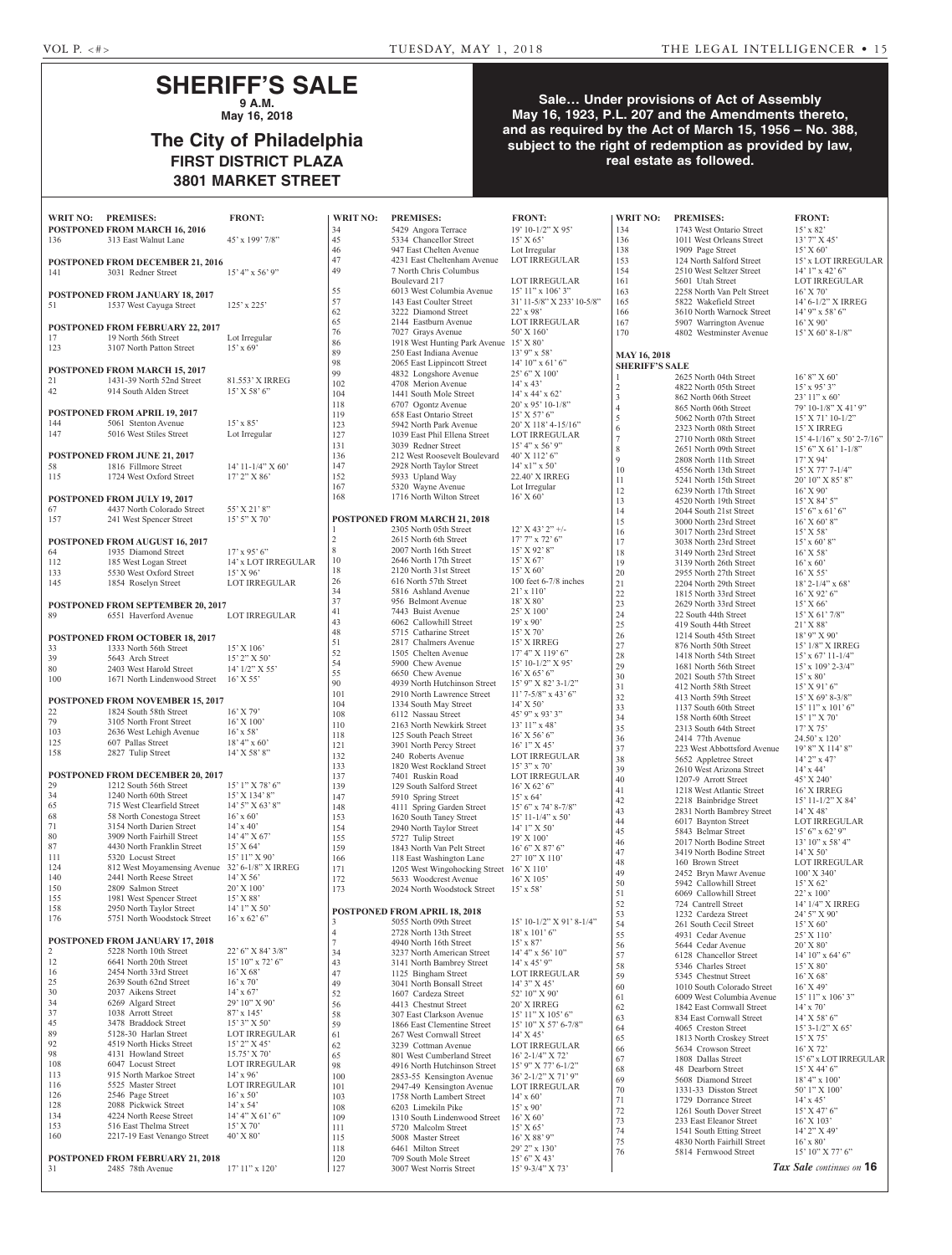## **SHERIFF'S SALE 9 A.M.**

**May 16, 2018**

# **The City of Philadelphia FIRST DISTRICT PLAZA 3801 MARKET STREET**

## **Sale… Under provisions of Act of Assembly May 16, 1923, P.L. 207 and the Amendments thereto, and as required by the Act of March 15, 1956 – No. 388, subject to the right of redemption as provided by law, real estate as followed.**

| <b>WRIT NO:</b> | <b>PREMISES:</b><br>POSTPONED FROM MARCH 16, 2016                         | <b>FRONT:</b>                      | <b>WRIT NO:</b><br>34 | <b>PREMISES:</b><br>5429 Angora Terrace                    | <b>FRONT:</b><br>19' 10-1/2" X 95'                        | <b>WRIT NO:</b><br>134          | <b>PREMISES:</b><br>1743 West Ontario Street            | <b>FRONT:</b><br>$15'$ x 82'                                   |
|-----------------|---------------------------------------------------------------------------|------------------------------------|-----------------------|------------------------------------------------------------|-----------------------------------------------------------|---------------------------------|---------------------------------------------------------|----------------------------------------------------------------|
| 136             | 313 East Walnut Lane                                                      | 45' x 199' 7/8"                    | 45                    | 5334 Chancellor Street                                     | 15' X 65'                                                 | 136                             | 1011 West Orleans Street                                | $13'7''$ X $4$                                                 |
|                 |                                                                           |                                    | $46\,$                | 947 East Chelten Avenue                                    | Lot Irregular                                             | 138                             | 1909 Page Street                                        | 15' X 60'                                                      |
| 141             | POSTPONED FROM DECEMBER 21, 2016<br>3031 Redner Street                    | $15' 4''$ x 56' 9"                 | 47<br>49              | 4231 East Cheltenham Avenue<br>7 North Chris Columbus      | <b>LOT IRREGULAR</b>                                      | 153<br>154                      | 124 North Salford Street<br>2510 West Seltzer Street    | $15'$ x LOT<br>$14'1''$ x 4                                    |
|                 |                                                                           |                                    |                       | Boulevard 217                                              | LOT IRREGULAR                                             | 161                             | 5601 Utah Street                                        | <b>LOT IRR</b>                                                 |
|                 | POSTPONED FROM JANUARY 18, 2017                                           |                                    | 55<br>57              | 6013 West Columbia Avenue<br>143 East Coulter Street       | $15'$ $11''$ x $106'$ $3''$<br>31' 11-5/8" X 233' 10-5/8" | 163<br>165                      | 2258 North Van Pelt Street<br>5822 Wakefield Street     | $16'$ X 70'<br>$14' 6 - 1/2'$                                  |
| 51              | 1537 West Cayuga Street                                                   | $125'$ x $225'$                    | 62                    | 3222 Diamond Street                                        | $22'$ x 98'                                               | 166                             | 3610 North Warnock Street                               | $14'$ 9" x 5                                                   |
|                 | <b>POSTPONED FROM FEBRUARY 22, 2017</b>                                   |                                    | 65<br>76              | 2144 Eastburn Avenue<br>7027 Grays Avenue                  | LOT IRREGULAR<br>50' X 160'                               | 167<br>170                      | 5907 Warrington Avenue<br>4802 Westminster Avenue       | $16'$ X 90'<br>15' X 60'                                       |
| 17<br>123       | 19 North 56th Street<br>3107 North Patton Street                          | Lot Irregular<br>$15'$ x 69'       | 86                    | 1918 West Hunting Park Avenue 15' X 80'                    |                                                           |                                 |                                                         |                                                                |
|                 |                                                                           |                                    | 89<br>98              | 250 East Indiana Avenue<br>2065 East Lippincott Street     | $13'9''$ x 58'<br>$14'$ 10" x 61' 6"                      | <b>MAY 16, 2018</b>             |                                                         |                                                                |
|                 | <b>POSTPONED FROM MARCH 15, 2017</b>                                      |                                    | 99                    | 4832 Longshore Avenue                                      | 25' 6" X 100'                                             | <b>SHERIFF'S SALE</b>           | 2625 North 04th Street                                  | $16'8''$ X 6                                                   |
| 21<br>42        | 1431-39 North 52nd Street<br>914 South Alden Street                       | 81.553' X IRREG<br>$15'$ X 58' 6"  | 102<br>104            | 4708 Merion Avenue<br>1441 South Mole Street               | $14'$ x 43'<br>$14'$ x $44'$ x $62'$                      | $\sqrt{2}$                      | 4822 North 05th Street                                  | $15'$ x 95'                                                    |
|                 |                                                                           |                                    | 118                   | 6707 Ogontz Avenue                                         | $20'$ x 95' 10-1/8"                                       | $\mathfrak z$<br>$\overline{4}$ | 862 North 06th Street<br>865 North 06th Street          | $23'11''$ x<br>$79'10-1/8$                                     |
| 144             | POSTPONED FROM APRIL 19, 2017<br>5061 Stenton Avenue                      | $15'$ x 85'                        | 119<br>123            | 658 East Ontario Street<br>5942 North Park Avenue          | $15'$ X 57' 6"<br>20' X 118' 4-15/16"                     | 5                               | 5062 North 07th Street                                  | $15'$ X 71'                                                    |
| 147             | 5016 West Stiles Street                                                   | Lot Irregular                      | 127                   | 1039 East Phil Ellena Street                               | <b>LOT IRREGULAR</b>                                      | 6<br>$\tau$                     | 2323 North 08th Street<br>2710 North 08th Street        | $15'$ X IRF<br>$15' 4 - 1/16$                                  |
|                 |                                                                           |                                    | 131<br>136            | 3039 Redner Street<br>212 West Roosevelt Boulevard         | $15'$ 4" x 56' 9"                                         | $\,$ 8 $\,$                     | 2651 North 09th Street                                  | 15' 6'' X 6                                                    |
| 58              | <b>POSTPONED FROM JUNE 21, 2017</b><br>1816 Fillmore Street               | $14'$ 11-1/4" X 60"                | 147                   | 2928 North Taylor Street                                   | 40' X 112' 6"<br>$14'$ x $1''$ x 50'                      | 9<br>10                         | 2808 North 11th Street<br>4556 North 13th Street        | 17' X 94'<br>$15'$ X 77                                        |
| 115             | 1724 West Oxford Street                                                   | $17'$ 2" X 86'                     | 152                   | 5933 Upland Way                                            | 22.40' X IRREG                                            | 11                              | 5241 North 15th Street                                  | 20' 10" X                                                      |
|                 | POSTPONED FROM JULY 19, 2017                                              |                                    | 167<br>168            | 5320 Wayne Avenue<br>1716 North Wilton Street              | Lot Irregular<br>$16'$ X 60'                              | 12                              | 6239 North 17th Street                                  | $16'$ X 90'                                                    |
| 67              | 4437 North Colorado Street                                                | 55' X 21' 8"                       |                       |                                                            |                                                           | 13<br>14                        | 4520 North 19th Street<br>2044 South 21st Street        | 15' X 84'<br>$15'6''$ x 6                                      |
| 157             | 241 West Spencer Street                                                   | $15'$ 5" X 70"                     |                       | POSTPONED FROM MARCH 21, 2018<br>2305 North 05th Street    | $12'$ X 43' 2" +/-                                        | 15                              | 3000 North 23rd Street                                  | $16'$ X 60'                                                    |
|                 | POSTPONED FROM AUGUST 16, 2017                                            |                                    | $\overline{c}$        | 2615 North 6th Street                                      | $17'7''$ x $72'6''$                                       | 16<br>17                        | 3017 North 23rd Street<br>3038 North 23rd Street        | 15' X 58'<br>$15'$ x 60'                                       |
| 64              | 1935 Diamond Street                                                       | $17'$ x 95' 6"                     | 8<br>10               | 2007 North 16th Street<br>2646 North 17th Street           | 15' X 92' 8"<br>15' X 67'                                 | 18                              | 3149 North 23rd Street                                  | $16'$ X 58 <sup><math>\frac{1}{2}</math></sup>                 |
| 112<br>133      | 185 West Logan Street<br>5530 West Oxford Street                          | 14' x LOT IRREGULAR<br>$15'$ X 96' | 18                    | 2120 North 31st Street                                     | 15' X 60'                                                 | 19<br>$20\,$                    | 3139 North 26th Street<br>2955 North 27th Street        | $16'$ x 60'<br>$16'$ X 55 <sup><math>\overline{)}</math></sup> |
| 145             | 1854 Roselyn Street                                                       | <b>LOT IRREGULAR</b>               | 26                    | 616 North 57th Street                                      | 100 feet $6-7/8$ inches                                   | $21\,$                          | 2204 North 29th Street                                  | $18'$ 2- $1/4'$                                                |
|                 | POSTPONED FROM SEPTEMBER 20, 2017                                         |                                    | 34<br>37              | 5816 Ashland Avenue<br>956 Belmont Avenue                  | $21' \times 110'$<br>18' X 80'                            | $22\,$<br>23                    | 1815 North 33rd Street<br>2629 North 33rd Street        | 16' X 92<br>$15'$ X 66'                                        |
| 89              | 6551 Haverford Avenue                                                     | <b>LOT IRREGULAR</b>               | 41                    | 7443 Buist Avenue                                          | $25'$ X $100'$                                            | 24                              | 22 South 44th Street                                    | $15'$ X 61                                                     |
|                 |                                                                           |                                    | 43<br>$48\,$          | 6062 Callowhill Street<br>5715 Catharine Street            | $19'$ x 90'<br>$15'$ X 70'                                | $25\,$<br>26                    | 419 South 44th Street<br>1214 South 45th Street         | $21'$ X 88<br>18' 9" X 9                                       |
| 33              | <b>POSTPONED FROM OCTOBER 18, 2017</b><br>1333 North 56th Street          | $15'$ X $106'$                     | 51                    | 2817 Chalmers Avenue                                       | 15' X IRREG                                               | $27\,$                          | 876 North 50th Street                                   | $15'$ $1/8''$ $\lambda$                                        |
| 39              | 5643 Arch Street                                                          | $15'$ 2" X 50"                     | 52<br>54              | 1505 Chelten Avenue<br>5900 Chew Avenue                    | $17'$ 4" X $119'$ 6"<br>$15' 10-1/2''$ X 95'              | $28\,$<br>29                    | 1418 North 54th Street<br>1681 North 56th Street        | $15'$ x 67'<br>$15'$ x $109'$                                  |
| 80<br>100       | 2403 West Harold Street<br>1671 North Lindenwood Street                   | $14'$ $1/2''$ X 55'<br>$16'$ X 55' | 55                    | 6650 Chew Avenue                                           | $16'$ X 65' 6"                                            | 30                              | 2021 South 57th Street                                  | $15' \times 80'$                                               |
|                 |                                                                           |                                    | 90<br>101             | 4939 North Hutchinson Street<br>2910 North Lawrence Street | 15' 9" X 82' 3-1/2"<br>$11'$ 7-5/8" x 43' 6"              | 31<br>32                        | 412 North 58th Street                                   | $15'$ X 91 <sup>3</sup>                                        |
| 22              | POSTPONED FROM NOVEMBER 15, 2017<br>1824 South 58th Street                | $16'$ X 79'                        | 104                   | 1334 South May Street                                      | $14'$ X 50'                                               | 33                              | 413 North 59th Street<br>1137 South 60th Street         | 15' X 69'<br>$15'11''$ x                                       |
| 79              | 3105 North Front Street                                                   | $16'$ X $100'$                     | 108<br>110            | 6112 Nassau Street<br>2163 North Newkirk Street            | $45'9''$ x 93' 3"<br>$13'11''$ x 48'                      | 34                              | 158 North 60th Street                                   | $15'1''$ X $\degree$                                           |
| 103             | 2636 West Lehigh Avenue<br>607 Pallas Street                              | $16'$ x 58'                        | 118                   | 125 South Peach Street                                     | $16'$ X 56' 6"                                            | 35<br>36                        | 2313 South 64th Street<br>2414 77th Avenue              | 17' X 75'<br>$24.50'$ x 1                                      |
| 125<br>158      | 2827 Tulip Street                                                         | $18' 4''$ x 60'<br>14' X 58' 8"    | 121<br>132            | 3901 North Percy Street<br>240 Roberts Avenue              | $16'1''$ X 45'<br>LOT IRREGULAR                           | 37                              | 223 West Abbottsford Avenue                             | 19' 8" X 1                                                     |
|                 |                                                                           |                                    | 133                   | 1820 West Rockland Street                                  | 15' 3" x 70'                                              | 38<br>39                        | 5652 Appletree Street<br>2610 West Arizona Street       | $14'$ 2" x 4<br>$14'$ x $44'$                                  |
| 29              | <b>POSTPONED FROM DECEMBER 20, 2017</b><br>1212 South 56th Street         | $15'1''$ X 78' 6"                  | 137<br>139            | 7401 Ruskin Road<br>129 South Salford Street               | LOT IRREGULAR<br>$16'$ X 62' 6"                           | 40                              | 1207-9 Arrott Street                                    | 45' X 240                                                      |
| 34              | 1240 North 60th Street                                                    | 15' X 134' 8"                      | 147                   | 5910 Spring Street                                         | $15'$ x 64'                                               | 41<br>42                        | 1218 West Atlantic Street<br>2218 Bainbridge Street     | 16' X IRF<br>$15' 11 - 1/2$                                    |
| 65<br>68        | 715 West Clearfield Street<br>58 North Conestoga Street                   | $14'$ 5" X 63' 8"<br>$16'$ x 60'   | 148<br>153            | 4111 Spring Garden Street<br>1620 South Taney Street       | $15'$ 6" x 74' 8-7/8"<br>$15'$ 11-1/4" x 50"              | 43                              | 2831 North Bambrey Street                               | $14'$ X 48'                                                    |
| 71              | 3154 North Darien Street                                                  | $14' \times 40'$                   | 154                   | 2940 North Taylor Street                                   | $14'1''$ X 50'                                            | 44<br>45                        | 6017 Baynton Street<br>5843 Belmar Street               | <b>LOT IRR</b><br>$15'6''$ x 6                                 |
| 80<br>87        | 3909 North Fairhill Street<br>4430 North Franklin Street                  | 14' 4'' X 67'<br>15' X 64'         | 155<br>159            | 5727 Tulip Street<br>1843 North Van Pelt Street            | 19' X 100'<br>$16'6''$ X 87' 6"                           | 46                              | 2017 North Bodine Street                                | $13'10''$ x                                                    |
| 111             | 5320 Locust Street                                                        | 15' 11" X 90'                      | 166                   | 118 East Washington Lane                                   | 27' 10" X 110'                                            | 47<br>48                        | 3419 North Bodine Street<br>160 Brown Street            | $14'$ X 50'<br><b>LOT IRR</b>                                  |
| 124<br>140      | 812 West Moyamensing Avenue 32' 6-1/8" X IRREG<br>2441 North Reese Street | $14'$ X 56'                        | 171<br>172            | 1205 West Wingohocking Street 16' X 110'                   |                                                           | 49                              | 2452 Bryn Mawr Avenue                                   | $100'$ X 34                                                    |
| 150             | 2809 Salmon Street                                                        | 20' X 100'                         | 173                   | 5633 Woodcrest Avenue<br>2024 North Woodstock Street       | $16'$ X $105'$<br>$15'$ x 58'                             | 50<br>51                        | 5942 Callowhill Street<br>6069 Callowhill Street        | 15' X 62'<br>$22'$ x $100'$                                    |
| 155<br>158      | 1981 West Spencer Street<br>2950 North Taylor Street                      | 15' X 88'<br>$14'1''$ X 50'        |                       |                                                            |                                                           | 52                              | 724 Cantrell Street                                     | $14'$ $1/4''$ $\lambda$                                        |
| 176             | 5751 North Woodstock Street                                               | $16'$ x 62' 6"                     | 3                     | POSTPONED FROM APRIL 18, 2018<br>5055 North 09th Street    | 15' 10-1/2" X 91' 8-1/4"                                  | 53<br>54                        | 1232 Cardeza Street<br>261 South Cecil Street           | $24'5''$ X 9<br>15' X 60'                                      |
|                 |                                                                           |                                    | $\overline{4}$        | 2728 North 13th Street                                     | $18'$ x $101'$ 6"                                         | 55                              | 4931 Cedar Avenue                                       | 25' X 110                                                      |
| 2               | <b>POSTPONED FROM JANUARY 17, 2018</b><br>5228 North 10th Street          | $22'$ 6" X 84' 3/8"                | $\tau$<br>34          | 4940 North 16th Street<br>3237 North American Street       | $15'$ x 87'<br>$14' 4''$ x 56' $10''$                     | 56<br>57                        | 5644 Cedar Avenue<br>6128 Chancellor Street             | $20'$ X $80'$<br>14' 10'' x                                    |
| 12              | 6641 North 20th Street                                                    | $15'$ 10" x 72' 6"                 | 43                    | 3141 North Bambrey Street                                  | $14'$ x $45'$ 9"                                          | 58                              | 5346 Charles Street                                     | $15'$ X 80'                                                    |
| 16<br>25        | 2454 North 33rd Street<br>2639 South 62nd Street                          | $16'$ X 68'<br>$16'$ x $70'$       | 47<br>49              | 1125 Bingham Street<br>3041 North Bonsall Street           | LOT IRREGULAR<br>$14'3''$ X 45'                           | 59<br>60                        | 5345 Chestnut Street                                    | $16'$ X 68 <sup><math>\overline{)}</math></sup><br>16' X 49'   |
| 30              | 2037 Aikens Street                                                        | $14'$ x 67'                        | 52                    | 1607 Cardeza Street                                        | 52' 10" X 90'                                             | 61                              | 1010 South Colorado Street<br>6009 West Columbia Avenue | $15'11''$ x                                                    |
| 34<br>37        | 6269 Algard Street<br>1038 Arrott Street                                  | 29' 10" X 90'<br>$87' \times 145'$ | 56<br>58              | 4413 Chestnut Street<br>307 East Clarkson Avenue           | 20' X IRREG<br>15' 11" X 105' 6"                          | 62                              | 1842 East Cornwall Street                               | $14' \times 70'$                                               |
| 45              | 3478 Braddock Street                                                      | $15'3''$ X 50'                     | 59                    | 1866 East Clementine Street                                | 15' 10" X 57' 6-7/8"                                      | 63<br>64                        | 834 East Cornwall Street<br>4065 Creston Street         | 14' X 58'<br>$15'$ 3- $1/2'$                                   |
| 89<br>92        | 5128-30 Harlan Street<br>4519 North Hicks Street                          | LOT IRREGULAR<br>$15'$ 2" X 45"    | 61<br>62              | 267 West Cornwall Street<br>3239 Cottman Avenue            | $14'$ X 45'<br>LOT IRREGULAR                              | 65                              | 1813 North Croskey Street                               | 15' X 75'                                                      |
| 98              | 4131 Howland Street                                                       | 15.75' X 70'                       | 65                    | 801 West Cumberland Street                                 | $16'$ 2-1/4" X 72'                                        | 66<br>67                        | 5634 Crowson Street<br>1808 Dallas Street               | 16' X 72'<br>15' 6" x LO                                       |
| 108<br>113      | 6047 Locust Street<br>915 North Markoe Street                             | LOT IRREGULAR<br>$14'$ x 96'       | 98<br>100             | 4916 North Hutchinson Street<br>2853-55 Kensington Avenue  | 15' 9" X 77' 6-1/2"<br>36' 2-1/2" X 71' 9"                | 68                              | 48 Dearborn Street                                      | 15' X 44'                                                      |
| 116             | 5525 Master Street                                                        | <b>LOT IRREGULAR</b>               | 101                   | 2947-49 Kensington Avenue                                  | LOT IRREGULAR                                             | 69<br>70                        | 5608 Diamond Street<br>1331-33 Disston Street           | 18' 4" x 1<br>50' l" X l                                       |
| 126<br>128      | 2546 Page Street<br>2088 Pickwick Street                                  | $16' \times 50'$<br>$14'$ x 54'    | 103<br>108            | 1758 North Lambert Street<br>6203 Limekiln Pike            | $14' \times 60'$<br>$15'$ x 90'                           | 71                              | 1729 Dorrance Street                                    | $14' \times 45'$                                               |
| 134             | 4224 North Reese Street                                                   | 14' 4'' X 61' 6''                  | 109                   | 1310 South Lindenwood Street                               | $16'$ X 60'                                               | 72<br>73                        | 1261 South Dover Street<br>233 East Eleanor Street      | 15' X 47'<br>$16'$ X $103$                                     |
| 153<br>160      | 516 East Thelma Street<br>2217-19 East Venango Street                     | $15'$ X 70'<br>$40'$ X $80'$       | 111<br>115            | 5720 Malcolm Street<br>5008 Master Street                  | $15'$ X 65'<br>$16'$ X 88' 9"                             | 74                              | 1541 South Etting Street                                | $14'$ 2" X $4$                                                 |
|                 |                                                                           |                                    | 118                   | 6461 Milton Street                                         | 29' 2" x 130'                                             | 75<br>76                        | 4830 North Fairhill Street<br>5814 Fernwood Street      | $16'$ x $80'$<br>15' 10" X                                     |
| 31              | <b>POSTPONED FROM FEBRUARY 21, 2018</b><br>2485 78th Avenue               | $17'$ $11''$ x $120'$              | 120<br>127            | 709 South Mole Street<br>3007 West Norris Street           | $15'6''$ X 43'<br>15' 9-3/4" X 73'                        |                                 |                                                         | Tax Sale cont                                                  |
|                 |                                                                           |                                    |                       |                                                            |                                                           |                                 |                                                         |                                                                |

| WRIT NO:   | <b>PREMISES:</b>                                        | <b>FRONT:</b>                        |
|------------|---------------------------------------------------------|--------------------------------------|
| 34         | 5429 Angora Terrace                                     | 19' 10-1/2" X 95'                    |
| 45         | 5334 Chancellor Street                                  | 15' X 65'                            |
| 46         | 947 East Chelten Avenue                                 | Lot Irregular                        |
| 47<br>49   | 4231 East Cheltenham Avenue                             | LOT IRREGULAR                        |
|            | 7 North Chris Columbus<br>Boulevard 217                 |                                      |
| 55         | 6013 West Columbia Avenue                               | LOT IRREGULAR<br>15' 11" x 106' 3"   |
| 57         | 143 East Coulter Street                                 | 31' 11-5/8" X 233' 10-5/8"           |
| 62         | 3222 Diamond Street                                     | 22' x 98'                            |
| 65         | 2144 Eastburn Avenue                                    | LOT IRREGULAR                        |
| 76         | 7027 Grays Avenue                                       | 50' X 160'                           |
| 86         | 1918 West Hunting Park Avenue                           | 15' X 80'                            |
| 89         | 250 East Indiana Avenue                                 | $13'9''$ x 58'                       |
| 98         | 2065 East Lippincott Street                             | $14'$ 10" x 61' 6"                   |
| 99         | 4832 Longshore Avenue                                   | 25' 6" X 100'                        |
| 102        | 4708 Merion Avenue                                      | $14'$ x 43'                          |
| 104        | 1441 South Mole Street                                  | $14'$ x $44'$ x $62'$                |
| 118        | 6707 Ogontz Avenue                                      | 20' x 95' 10-1/8"                    |
| 119        | 658 East Ontario Street                                 | 15' X 57' 6"                         |
| 123<br>127 | 5942 North Park Avenue<br>1039 East Phil Ellena Street  | 20' X 118' 4-15/16"<br>LOT IRREGULAR |
| 131        | 3039 Redner Street                                      | $15' 4''$ x 56' 9"                   |
| 136        | 212 West Roosevelt Boulevard                            | 40' X 112' 6"                        |
| 147        | 2928 North Taylor Street                                | $14'$ x 1" x 50"                     |
| 152        | 5933 Upland Way                                         | 22.40' X IRREG                       |
| 167        | 5320 Wayne Avenue                                       | Lot Irregular                        |
| 168        | 1716 North Wilton Street                                | $16'$ X 60'                          |
|            |                                                         |                                      |
|            | <b>POSTPONED FROM MARCH 21, 2018</b>                    |                                      |
| 1          | 2305 North 05th Street                                  | $12'$ X 43' 2" +/-                   |
| 2          | 2615 North 6th Street                                   | 17' 7" x 72' 6"                      |
| 8          | 2007 North 16th Street                                  | 15' X 92' 8"                         |
| 10         | 2646 North 17th Street                                  | $15'$ X 67'                          |
| 18         | 2120 North 31st Street                                  | 15' X 60'                            |
| 26         | 616 North 57th Street                                   | 100 feet 6-7/8 inches                |
| 34<br>37   | 5816 Ashland Avenue<br>956 Belmont Avenue               | 21' x 110'                           |
| 41         | 7443 Buist Avenue                                       | 18' X 80'<br>25' X 100'              |
| 43         | 6062 Callowhill Street                                  | $19'$ x 90'                          |
| 48         | 5715 Catharine Street                                   | $15'$ X 70'                          |
| 51         | 2817 Chalmers Avenue                                    | 15' X IRREG                          |
| 52         | 1505 Chelten Avenue                                     | $17'$ 4" X $119'$ 6"                 |
| 54         | 5900 Chew Avenue                                        | 15' 10-1/2" X 95'                    |
| 55         | 6650 Chew Avenue                                        | $16'$ X $65'$ 6"                     |
| 90         | 4939 North Hutchinson Street                            | 15' 9" X 82' 3-1/2"                  |
| 101        | 2910 North Lawrence Street                              | $11'$ 7-5/8" x 43' 6"                |
| 104<br>108 | 1334 South May Street<br>6112 Nassau Street             | $14'$ X 50'<br>45' 9" x 93' 3"       |
| 110        | 2163 North Newkirk Street                               | $13'11''$ x 48'                      |
| 118        | 125 South Peach Street                                  | $16'$ X 56' 6"                       |
| 121        | 3901 North Percy Street                                 | 16' 1" X 45'                         |
| 132        | 240 Roberts Avenue                                      | LOT IRREGULAR                        |
| 133        | 1820 West Rockland Street                               | 15' 3" x 70'                         |
| 137        | 7401 Ruskin Road                                        | LOT IRREGULAR                        |
| 139        | 129 South Salford Street                                | $16'$ X 62' 6"                       |
| 147        | 5910 Spring Street                                      | $15'$ x 64'                          |
| 148        | 4111 Spring Garden Street                               | 15' 6" x 74' 8-7/8"                  |
| 153        | 1620 South Taney Street                                 | $15' 11 - 1/4''$ x 50'               |
| 154<br>155 | 2940 North Taylor Street<br>5727 Tulip Street           | 14' 1" X 50'<br>19' X 100'           |
| 159        | 1843 North Van Pelt Street                              | 16' 6" X 87' 6"                      |
| 166        | 118 East Washington Lane                                | 27' 10" X 110'                       |
| 171        | 1205 West Wingohocking Street                           | $16'$ X $110'$                       |
| 172        | 5633 Woodcrest Avenue                                   | $16'$ X $105'$                       |
| 173        | 2024 North Woodstock Street                             | $15'$ x 58'                          |
|            |                                                         |                                      |
|            | <b>POSTPONED FROM APRIL 18, 2018</b>                    |                                      |
| 3          | 5055 North 09th Street                                  | 15' 10-1/2" X 91' 8-1/4"             |
| 4          | 2728 North 13th Street                                  | $18'$ x $101'$ 6"                    |
| 7          | 4940 North 16th Street                                  | $15'$ x 87'                          |
| 34<br>43   | 3237 North American Street<br>3141 North Bambrey Street | 14' 4" x 56' 10"<br>$14'$ x $45'$ 9" |
| 47         | 1125 Bingham Street                                     | LOT IRREGULAR                        |
| 49         | 3041 North Bonsall Street                               | 14' 3" X 45'                         |
| 52         | 1607 Cardeza Street                                     | 52' 10" X 90'                        |
| 56         | 4413 Chestnut Street                                    | 20' X IRREG                          |
| 58         | 307 East Clarkson Avenue                                | 15' 11" X 105' 6"                    |
| 59         | 1866 East Clementine Street                             | 15' 10" X 57' 6-7/8"                 |
| 61         | 267 West Cornwall Street                                | $14'$ X $45'$                        |
| 62         | 3239 Cottman Avenue                                     | LOT IRREGULAR                        |
| 65         | 801 West Cumberland Street                              | 16' 2-1/4" X 72'                     |
| 98         | 4916 North Hutchinson Street                            | 15' 9" X 77' 6-1/2"                  |
| 100<br>101 | 2853-55 Kensington Avenue<br>2947-49 Kensington Avenue  | 36' 2-1/2" X 71' 9"<br>LOT IRREGULAR |
| 103        | 1758 North Lambert Street                               | $14' \times 60'$                     |
| 108        | 6203 Limekiln Pike                                      | $15'$ x 90'                          |
| 109        |                                                         |                                      |
| 111        | 1310 South Lindenwood Street                            | $16'$ X 60'                          |
|            | 5720 Malcolm Street                                     | $15'$ X 65'                          |
| 115        | 5008 Master Street                                      | $16'$ X 88' 9"                       |
| 118        | 6461 Milton Street                                      | 29' 2" x 130'                        |
| 120<br>127 | 709 South Mole Street<br>3007 West Norris Street        | 15' 6" X 43'<br>15' 9-3/4" X 73'     |

|                | WRIT NO:              | <b>PREMISES:</b>                                  |
|----------------|-----------------------|---------------------------------------------------|
| 5'             | 134                   | 1743 West Ontario Stre                            |
|                | 136                   | 1011 West Orleans Stre                            |
|                | 138                   | 1909 Page Street                                  |
| AR             | 153<br>154            | 124 North Salford Stre                            |
| AR             | 161                   | 2510 West Seltzer Stree<br>5601 Utah Street       |
| P              | 163                   | 2258 North Van Pelt St                            |
| 3' 10-5/8''    | 165                   | 5822 Wakefield Street                             |
|                | 166                   | 3610 North Warnock S                              |
| AR             | 167<br>170            | 5907 Warrington Aven<br>4802 Westminster Ave      |
|                |                       |                                                   |
|                | <b>MAY 16, 2018</b>   |                                                   |
|                | <b>SHERIFF'S SALE</b> |                                                   |
|                | 1                     | 2625 North 04th Street                            |
|                | 2<br>3                | 4822 North 05th Street<br>862 North 06th Street   |
|                | 4                     | 865 North 06th Street                             |
| /16"           | 5                     | 5062 North 07th Street                            |
| AR             | 6                     | 2323 North 08th Street                            |
|                | 7<br>8                | 2710 North 08th Street<br>2651 North 09th Street  |
|                | 9                     | 2808 North 11th Street                            |
| G              | 10                    | 4556 North 13th Street                            |
|                | 11                    | 5241 North 15th Street                            |
|                | 12<br>13              | 6239 North 17th Street<br>4520 North 19th Street  |
|                | 14                    | 2044 South 21st Street                            |
|                | 15                    | 3000 North 23rd Street                            |
|                | 16<br>17              | 3017 North 23rd Street<br>3038 North 23rd Street  |
|                | 18                    | 3149 North 23rd Street                            |
|                | 19                    | 3139 North 26th Street                            |
| nches          | 20                    | 2955 North 27th Street                            |
|                | 21<br>22              | 2204 North 29th Street<br>1815 North 33rd Street  |
|                | 23                    | 2629 North 33rd Street                            |
|                | 24                    | 22 South 44th Street                              |
|                | 25<br>26              | 419 South 44th Street<br>1214 South 45th Street   |
|                | 27                    | 876 North 50th Street                             |
|                | 28                    | 1418 North 54th Street                            |
|                | 29                    | 1681 North 56th Street                            |
| $1/2$ "        | 30<br>31              | 2021 South 57th Street<br>412 North 58th Street   |
| 6"             | 32                    | 413 North 59th Street                             |
|                | 33                    | 1137 South 60th Street                            |
|                | 34<br>35              | 158 North 60th Street<br>2313 South 64th Street   |
|                | 36                    | 2414 77th Avenue                                  |
|                | 37                    | 223 West Abbottsford /                            |
| AR             | 38                    | 5652 Appletree Street                             |
| AR             | 39<br>40              | 2610 West Arizona Stro<br>1207-9 Arrott Street    |
|                | 41                    | 1218 West Atlantic Stre                           |
| /8"            | 42                    | 2218 Bainbridge Stree                             |
| )'             | 43<br>44              | 2831 North Bambrey S<br>6017 Baynton Street       |
|                | 45                    | 5843 Belmar Street                                |
|                | 46                    | 2017 North Bodine Str                             |
|                | 47<br>48              | 3419 North Bodine Str                             |
|                | 49                    | 160 Brown Street<br>2452 Bryn Mawr Aver           |
|                | 50                    | 5942 Callowhill Street                            |
|                | 51                    | 6069 Callowhill Street                            |
|                | 52<br>53              | 724 Cantrell Street<br>1232 Cardeza Street        |
| $1'8-1/4"$     | 54                    | 261 South Cecil Street                            |
|                | 55                    | 4931 Cedar Avenue                                 |
|                | 56<br>57              | 5644 Cedar Avenue<br>6128 Chancellor Stree        |
|                | 58                    | 5346 Charles Street                               |
| AR             | 59                    | 5345 Chestnut Street                              |
|                | 60                    | 1010 South Colorado S                             |
|                | 61<br>62              | 6009 West Columbia A<br>1842 East Cornwall Str    |
| 6"             | 63                    | 834 East Cornwall Stre                            |
| $-7/8$ "       | 64                    | 4065 Creston Street                               |
| AR             | 65<br>66              | 1813 North Croskey St<br>5634 Crowson Street      |
|                | 67                    | 1808 Dallas Street                                |
| $1/2$ "<br>,9, | 68                    | 48 Dearborn Street                                |
| AR             | 69<br>70              | 5608 Diamond Street<br>1331-33 Disston Stree      |
|                | 71                    | 1729 Dorrance Street                              |
|                | 72                    | 1261 South Dover Stre                             |
|                | 73                    | 233 East Eleanor Stree                            |
|                | 74<br>75              | 1541 South Etting Stre<br>4830 North Fairhill Str |
|                | 76                    | 5814 Fernwood Street                              |

143 West Ontario Street 15' x 82'<br>
11 West Orleans Street 13' 7" X 45' 13' 7" X 4<br>
13' 7" X 4<br>
15' X 60' 15' X 60' 1399 Page Street<br>24 North Salford Street 15' x LOT IRREGULAR 14' 1" x 42' 6" 1510 West Seltzer Street 161 5601 Utah Street LOT IRREGULAR 163 2258 North Van Pelt Street 16' X 70' 14' 6-1/2" X IRREG<br>
1610 North Warnock Street  $14' 9''$  x 58' 6" 1610 North Warnock Street 167 5907 Warrington Avenue 16' X 90' 1802 Westminster Avenue 15' X 60' 8-1/8" 16' 8" X 60"<br>
1822 North 05th Street 15' x 95' 3" 15' x 95' 3"<br>
15' x 95' 3"<br>
162 North 06th Street 23' 11" x 60" 3 862 North 06th Street 23' 11" x 60'<br>3 865 North 06th Street 79' 10-1/8" X 41' 9" 4 865 North 06th Street 79' 10-1/8" X 41<br>
4 16' 15' X 71' 10-1/2" 5 5' X 71' 10-1<br>
5' X 71' 10-1<br>
5' X IRREG<br>
15' X IRREG 1323 North 08th Street<br>1710 North 08th Street  $15' 4-1/16" \times 50' 2-7/16"$ <br> $15' 6" X 61' 1-1/8"$ 1651 North 09th Street 15' 6" X 6<br>1808 North 11th Street 17' X 94' 1808 North 11th Street 17' X 94'<br>556 North 13th Street 15' X 77' 7-1/4" 1556 North 13th Street 15' X 77' 7-1/4"<br>
1241 North 15th Street 20' 10" X 85' 8" 1241 North 15th Street  $16'$  X 90'  $16'$  X 90' 13 4520 North 19th Street 15' X 84' 5" 14 2044 South 21st Street 15' 6" x 61' 6" 15 3000 North 23rd Street 16' X 60' 8" 16 3017 North 23rd Street 15' X 58' 15' x 60' 8"<br>15' x 60' 8" 149 North 23rd Street 16' X 58' 139 North 26th Street 16' x 60' 2004 North 27th Street 16' X 55'<br>
204 North 29th Street 18' 2-1/4" x 68' 204 North 29th Street  $18' 2-1/4"$  x<br>815 North 33rd Street  $16'$  X 92' 6" 22 16' X 92'<br>22 16' X 92' 629 North 33rd Street 15' X 66' 22 28 2629 North 33rd Street 15' X 66'<br>
15' X 61' 7/8' 22 South 44th Street 15' X 61'<br>
19 South 44th Street 21' X 88' 19 South 44th Street 21' X 88'<br>214 South 45th Street 18' 9" X 90' 214 South 45th Street 18' 9" X 90'<br>
76 North 50th Street 15' 1/8" X IRREG 276 North 50th Street 15' 1/8" X IRRE<br>
418 North 54th Street 15' x 67' 11-1/4" 218 North 54th Street 15' x 67' 11-1/4"<br>
281 North 56th Street 15' x 109' 2-3/4" 29 15' x 109<br>
2021 South 57th Street 15' x 80'  $3021$  South 57th Street  $15' \times 80'$ <br>12 North 58th Street  $15' \times 91' 6''$ 12 North 58th Street 15' X 91' 6"<br>
13 North 59th Street 15' X 69' 8-3/8" 13 North 59th Street 15' X 69' 8-3/8"<br>137 South 60th Street 15' 11" x 101' 6" 137 South 60th Street 15' 11" x 10<br>58 North 60th Street 15' 1" X 70" 58 North 60th Street 15' 1" X 7<br>313 South 64th Street 17' X 75' 2313 South 64th Street 17' X 75'<br>
24.50' x 120' 24.50' x 120'<br>
23 West Abbottsford Avenue 19' 8" X 114' 8" 223 West Abbottsford Avenue  $19' 8'' X 114'$ <br>652 Appletree Street  $14' 2'' x 47'$  $3652$  Appletree Street  $14'$  2" x 43'<br> $1610$  West Arizona Street  $14'$  x 44' 2001 2013 2014 2014 2014 2014 2014 2014 2015<br>2014 2015 2014 2021 2031 2040 207-9 Arrott Street 218 West Atlantic Street 16' X IRREG 42 2218 Bainbridge Street 15' 11-1/2" X 84' 43 2831 North Bambrey Street 14' X 48'<br>1617 Baynton Street LOT IRREGULAR 6017 Baynton Street 443 Belmar Street 15' 6" x 62' 9"<br>
16.17 North Bodine Street 13' 10" x 58' 4" 2017 North Bodine Street 419 North Bodine Street 14' X 50' 60 Brown Street LOT IRREGULAR<br>2452 Bryn Mawr Avenue 100' X 340' 452 Bryn Mawr Avenue  $100'$  X 34<br>
442 Callowhill Street  $15'$  X 62<sup>°</sup>  $\frac{15}{15}$  Section 22<sup>3</sup> X 62<sup>3</sup><br>  $\frac{15}{15}$  X 62<sup>3</sup> 5069 Callowhill Street<br>24 Cantrell Street 14' 1/4" X IRREG 24' 5" X 90' 232 Cardeza Street 24' 5" X 9<br>
161 South Cecil Street 15' X 60'  $15' X 60'$ <br>  $15' X 60'$ <br>  $15' X 60'$ <br>  $25' X 110'$ 931 Cedar Avenue 25' X 110<br>644 Cedar Avenue 20' X 80' 644 Cedar Avenue  $20'$  X  $80'$ <br>5128 Chancellor Street  $14'$  10" x 64' 6"  $5128$  Chancellor Street  $14' 10''$  x<br>346 Charles Street  $15'$  X 80' 346 Charles Street 15' X 80'<br>345 Chestnut Street 16' X 68' 59 5345 Chestnut Street 16' X 68'<br>
610 South Colorado Street 16' X 49' 010 South Colorado Street 16' X 49'<br>6009 West Columbia Avenue 15' 11" x 106' 3" 6009 West Columbia Avenue  $15' 11''$  x<br>842 East Cornwall Street  $14'$  x 70' 842 East Cornwall Street 14' x 70'<br>
34 East Cornwall Street 14' X 58' 6" 34 East Cornwall Street 14' X 58' 6"<br>065 Creston Street 15' 3-1/2" X 65' 41 4065 Creston Street 15' 3-1/2"<br>
813 North Croskey Street 15' X 75" 813 North Croskey Street 634 Crowson Street 16' X 72'<br>808 Dallas Street 15' 6" x Lo  $15^\circ\,6^{\prime\prime}$ x LOT IRREGULAR $15^\circ$  X  $44^\circ\,6^{\prime\prime}$ 8 Dearborn Street 608 Diamond Street 18' 4" x 100'<br>331-33 Disston Street 50' 1" X 100' 331-33 Disston Street 729 Dorrance Street 14' x 45'<br>261 South Dover Street 15' X 47' 6" 261 South Dover Street 73 233 East Eleanor Street 16' X 103' 541 South Etting Street 14' 2" X 49'  $\frac{16}{16}$  830 North Fairhill Street  $\frac{16}{15}$  10" X 77' 6"

*Tax Sale continues on* **16**